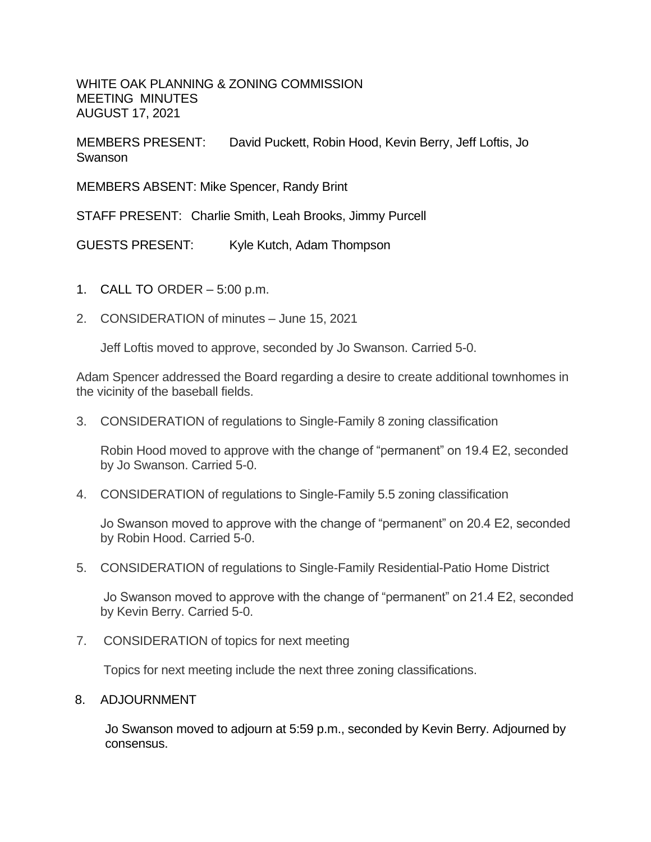WHITE OAK PLANNING & ZONING COMMISSION MEETING MINUTES AUGUST 17, 2021

MEMBERS PRESENT: David Puckett, Robin Hood, Kevin Berry, Jeff Loftis, Jo Swanson

MEMBERS ABSENT: Mike Spencer, Randy Brint

STAFF PRESENT: Charlie Smith, Leah Brooks, Jimmy Purcell

GUESTS PRESENT: Kyle Kutch, Adam Thompson

- 1. CALL TO ORDER 5:00 p.m.
- 2. CONSIDERATION of minutes June 15, 2021

Jeff Loftis moved to approve, seconded by Jo Swanson. Carried 5-0.

Adam Spencer addressed the Board regarding a desire to create additional townhomes in the vicinity of the baseball fields.

3. CONSIDERATION of regulations to Single-Family 8 zoning classification

Robin Hood moved to approve with the change of "permanent" on 19.4 E2, seconded by Jo Swanson. Carried 5-0.

4. CONSIDERATION of regulations to Single-Family 5.5 zoning classification

Jo Swanson moved to approve with the change of "permanent" on 20.4 E2, seconded by Robin Hood. Carried 5-0.

5. CONSIDERATION of regulations to Single-Family Residential-Patio Home District

Jo Swanson moved to approve with the change of "permanent" on 21.4 E2, seconded by Kevin Berry. Carried 5-0.

7. CONSIDERATION of topics for next meeting

Topics for next meeting include the next three zoning classifications.

## 8. ADJOURNMENT

Jo Swanson moved to adjourn at 5:59 p.m., seconded by Kevin Berry. Adjourned by consensus.